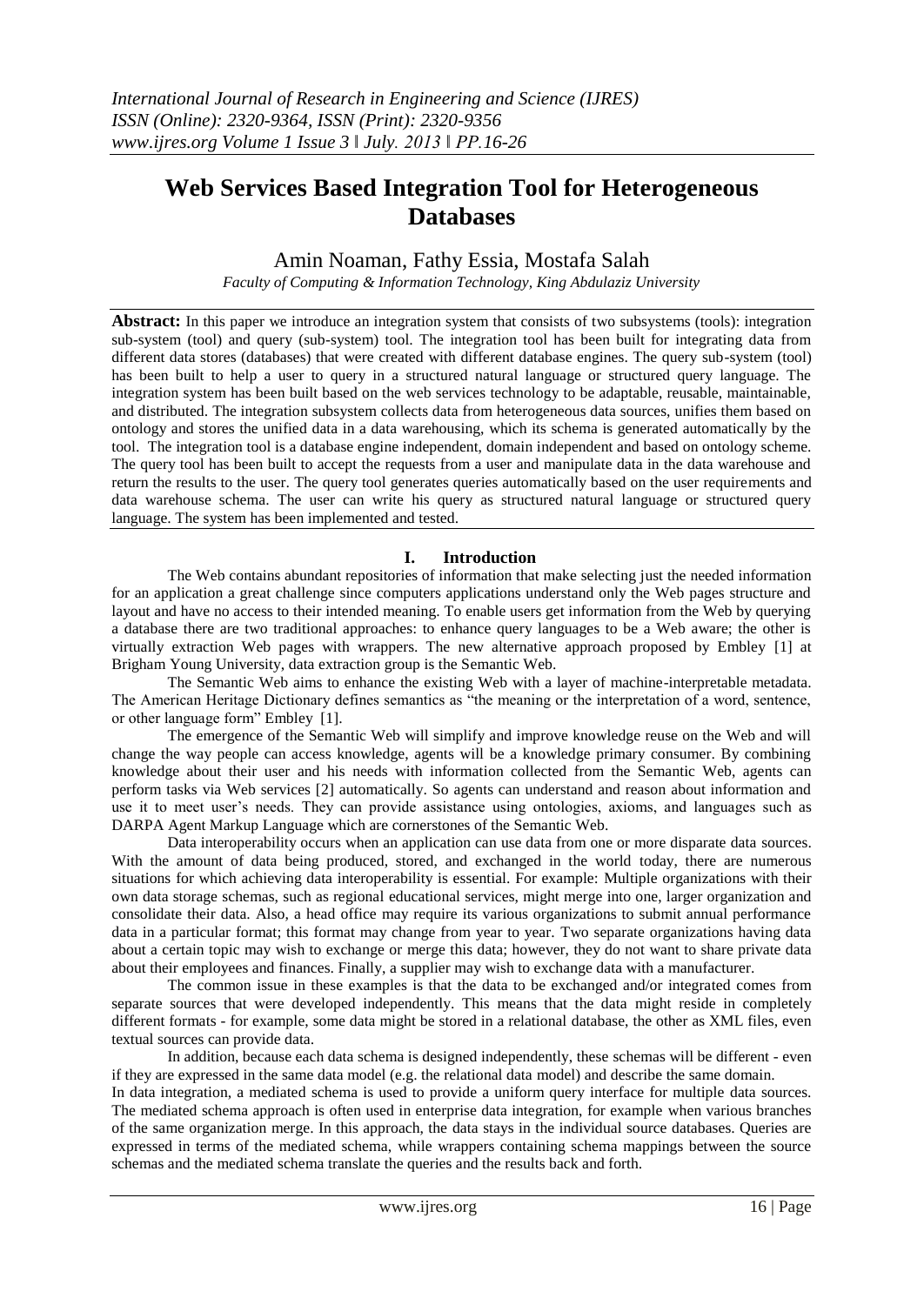# **Web Services Based Integration Tool for Heterogeneous Databases**

Amin Noaman, Fathy Essia, Mostafa Salah

*Faculty of Computing & Information Technology, King Abdulaziz University*

**Abstract:** In this paper we introduce an integration system that consists of two subsystems (tools): integration sub-system (tool) and query (sub-system) tool. The integration tool has been built for integrating data from different data stores (databases) that were created with different database engines. The query sub-system (tool) has been built to help a user to query in a structured natural language or structured query language. The integration system has been built based on the web services technology to be adaptable, reusable, maintainable, and distributed. The integration subsystem collects data from heterogeneous data sources, unifies them based on ontology and stores the unified data in a data warehousing, which its schema is generated automatically by the tool. The integration tool is a database engine independent, domain independent and based on ontology scheme. The query tool has been built to accept the requests from a user and manipulate data in the data warehouse and return the results to the user. The query tool generates queries automatically based on the user requirements and data warehouse schema. The user can write his query as structured natural language or structured query language. The system has been implemented and tested.

# **I. Introduction**

The Web contains abundant repositories of information that make selecting just the needed information for an application a great challenge since computers applications understand only the Web pages structure and layout and have no access to their intended meaning. To enable users get information from the Web by querying a database there are two traditional approaches: to enhance query languages to be a Web aware; the other is virtually extraction Web pages with wrappers. The new alternative approach proposed by Embley [1] at Brigham Young University, data extraction group is the Semantic Web.

The Semantic Web aims to enhance the existing Web with a layer of machine-interpretable metadata. The American Heritage Dictionary defines semantics as "the meaning or the interpretation of a word, sentence, or other language form" Embley [1].

The emergence of the Semantic Web will simplify and improve knowledge reuse on the Web and will change the way people can access knowledge, agents will be a knowledge primary consumer. By combining knowledge about their user and his needs with information collected from the Semantic Web, agents can perform tasks via Web services [2] automatically. So agents can understand and reason about information and use it to meet user's needs. They can provide assistance using ontologies, axioms, and languages such as DARPA Agent Markup Language which are cornerstones of the Semantic Web.

Data interoperability occurs when an application can use data from one or more disparate data sources. With the amount of data being produced, stored, and exchanged in the world today, there are numerous situations for which achieving data interoperability is essential. For example: Multiple organizations with their own data storage schemas, such as regional educational services, might merge into one, larger organization and consolidate their data. Also, a head office may require its various organizations to submit annual performance data in a particular format; this format may change from year to year. Two separate organizations having data about a certain topic may wish to exchange or merge this data; however, they do not want to share private data about their employees and finances. Finally, a supplier may wish to exchange data with a manufacturer.

The common issue in these examples is that the data to be exchanged and/or integrated comes from separate sources that were developed independently. This means that the data might reside in completely different formats - for example, some data might be stored in a relational database, the other as XML files, even textual sources can provide data.

In addition, because each data schema is designed independently, these schemas will be different - even if they are expressed in the same data model (e.g. the relational data model) and describe the same domain.

In data integration, a mediated schema is used to provide a uniform query interface for multiple data sources. The mediated schema approach is often used in enterprise data integration, for example when various branches of the same organization merge. In this approach, the data stays in the individual source databases. Queries are expressed in terms of the mediated schema, while wrappers containing schema mappings between the source schemas and the mediated schema translate the queries and the results back and forth.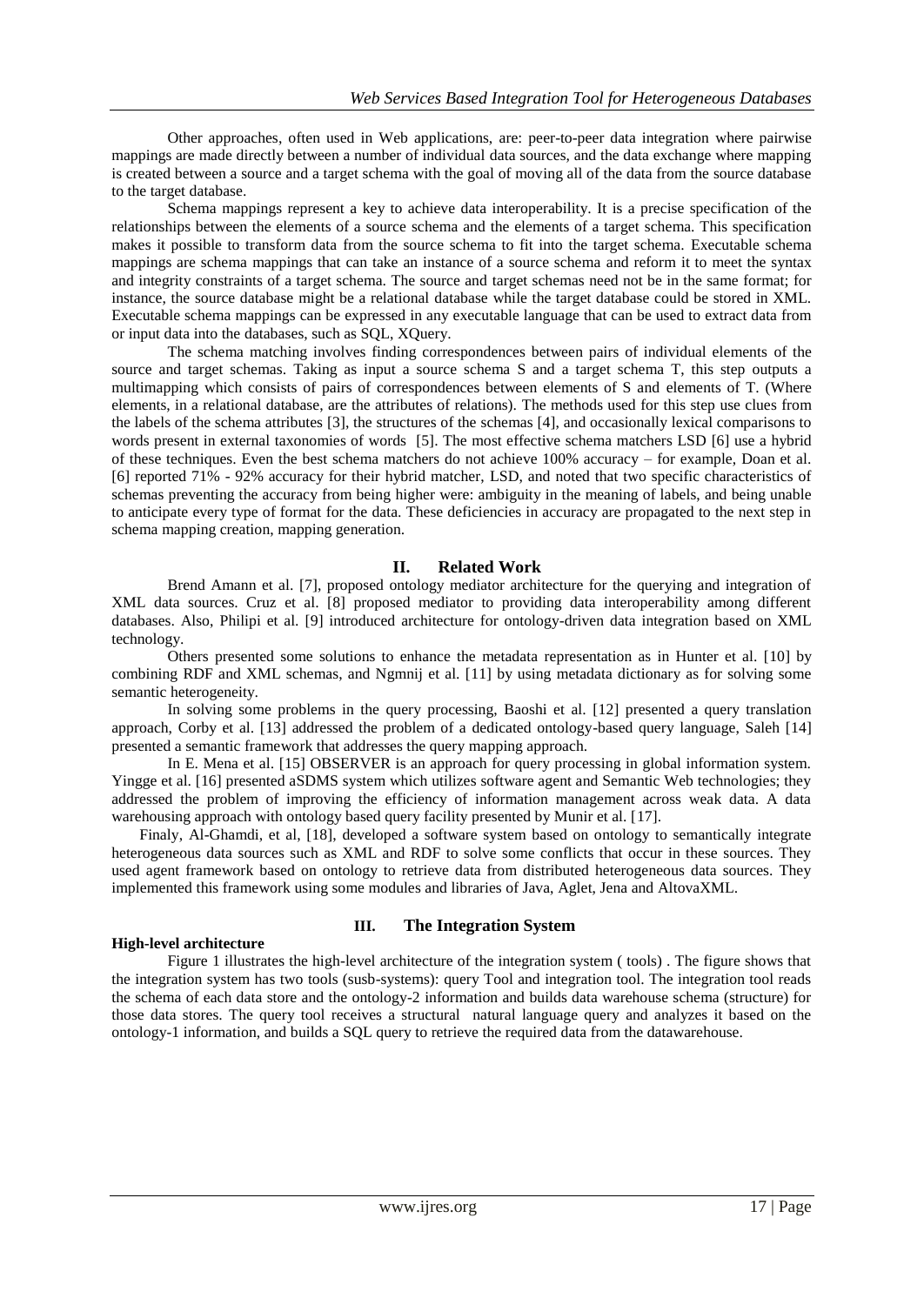Other approaches, often used in Web applications, are: peer-to-peer data integration where pairwise mappings are made directly between a number of individual data sources, and the data exchange where mapping is created between a source and a target schema with the goal of moving all of the data from the source database to the target database.

Schema mappings represent a key to achieve data interoperability. It is a precise specification of the relationships between the elements of a source schema and the elements of a target schema. This specification makes it possible to transform data from the source schema to fit into the target schema. Executable schema mappings are schema mappings that can take an instance of a source schema and reform it to meet the syntax and integrity constraints of a target schema. The source and target schemas need not be in the same format; for instance, the source database might be a relational database while the target database could be stored in XML. Executable schema mappings can be expressed in any executable language that can be used to extract data from or input data into the databases, such as SQL, XQuery.

The schema matching involves finding correspondences between pairs of individual elements of the source and target schemas. Taking as input a source schema S and a target schema T, this step outputs a multimapping which consists of pairs of correspondences between elements of S and elements of T. (Where elements, in a relational database, are the attributes of relations). The methods used for this step use clues from the labels of the schema attributes [3], the structures of the schemas [4], and occasionally lexical comparisons to words present in external taxonomies of words [5]. The most effective schema matchers LSD [6] use a hybrid of these techniques. Even the best schema matchers do not achieve 100% accuracy – for example, Doan et al. [6] reported 71% - 92% accuracy for their hybrid matcher, LSD, and noted that two specific characteristics of schemas preventing the accuracy from being higher were: ambiguity in the meaning of labels, and being unable to anticipate every type of format for the data. These deficiencies in accuracy are propagated to the next step in schema mapping creation, mapping generation.

#### **II. Related Work**

Brend Amann et al. [7], proposed ontology mediator architecture for the querying and integration of XML data sources. Cruz et al. [8] proposed mediator to providing data interoperability among different databases. Also, Philipi et al. [9] introduced architecture for ontology-driven data integration based on XML technology.

Others presented some solutions to enhance the metadata representation as in Hunter et al. [10] by combining RDF and XML schemas, and Ngmnij et al. [11] by using metadata dictionary as for solving some semantic heterogeneity.

In solving some problems in the query processing, Baoshi et al. [12] presented a query translation approach, Corby et al. [13] addressed the problem of a dedicated ontology-based query language, Saleh [14] presented a semantic framework that addresses the query mapping approach.

In E. Mena et al. [15] OBSERVER is an approach for query processing in global information system. Yingge et al. [16] presented aSDMS system which utilizes software agent and Semantic Web technologies; they addressed the problem of improving the efficiency of information management across weak data. A data warehousing approach with ontology based query facility presented by Munir et al. [17].

Finaly, Al-Ghamdi, et al, [18], developed a software system based on ontology to semantically integrate heterogeneous data sources such as XML and RDF to solve some conflicts that occur in these sources. They used agent framework based on ontology to retrieve data from distributed heterogeneous data sources. They implemented this framework using some modules and libraries of Java, Aglet, Jena and AltovaXML.

#### **High-level architecture**

# **III. The Integration System**

Figure 1 illustrates the high-level architecture of the integration system ( tools) . The figure shows that the integration system has two tools (susb-systems): query Tool and integration tool. The integration tool reads the schema of each data store and the ontology-2 information and builds data warehouse schema (structure) for those data stores. The query tool receives a structural natural language query and analyzes it based on the ontology-1 information, and builds a SQL query to retrieve the required data from the datawarehouse.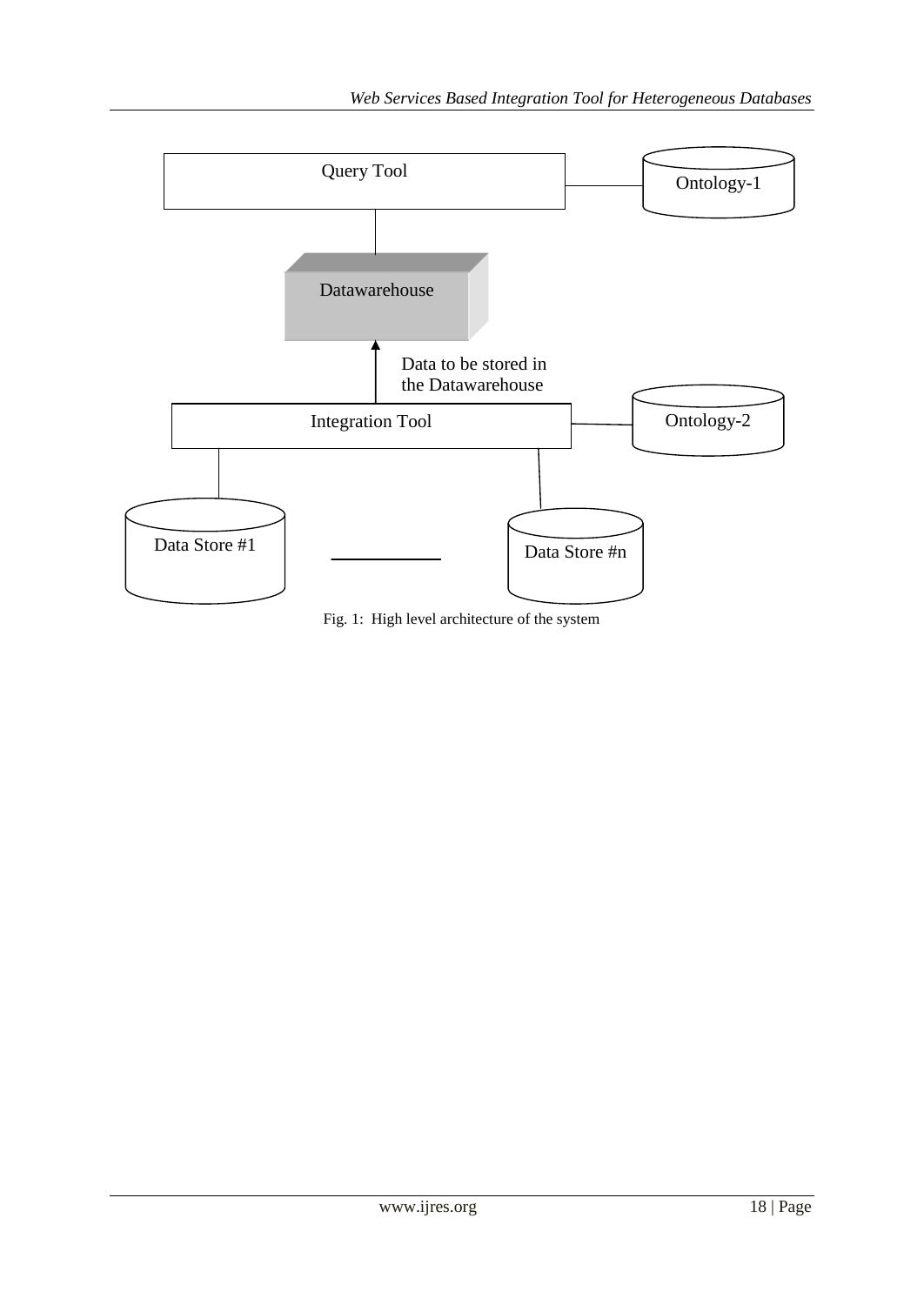

Fig. 1: High level architecture of the system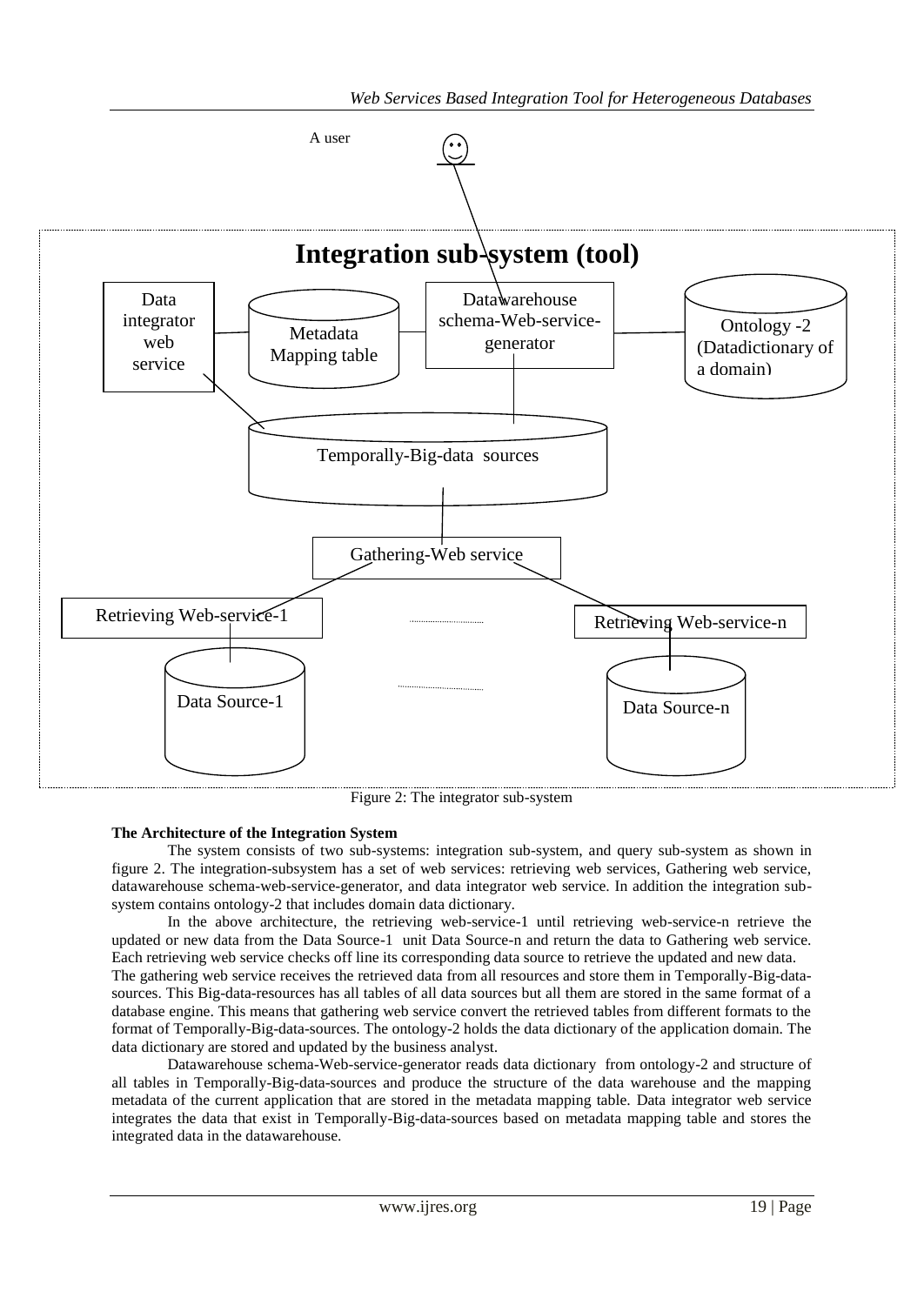

Figure 2: The integrator sub-system

### **The Architecture of the Integration System**

The system consists of two sub-systems: integration sub-system, and query sub-system as shown in figure 2. The integration-subsystem has a set of web services: retrieving web services, Gathering web service, datawarehouse schema-web-service-generator, and data integrator web service. In addition the integration subsystem contains ontology-2 that includes domain data dictionary.

In the above architecture, the retrieving web-service-1 until retrieving web-service-n retrieve the updated or new data from the Data Source-1 unit Data Source-n and return the data to Gathering web service. Each retrieving web service checks off line its corresponding data source to retrieve the updated and new data. The gathering web service receives the retrieved data from all resources and store them in Temporally-Big-datasources. This Big-data-resources has all tables of all data sources but all them are stored in the same format of a database engine. This means that gathering web service convert the retrieved tables from different formats to the format of Temporally-Big-data-sources. The ontology-2 holds the data dictionary of the application domain. The data dictionary are stored and updated by the business analyst.

Datawarehouse schema-Web-service-generator reads data dictionary from ontology-2 and structure of all tables in Temporally-Big-data-sources and produce the structure of the data warehouse and the mapping metadata of the current application that are stored in the metadata mapping table. Data integrator web service integrates the data that exist in Temporally-Big-data-sources based on metadata mapping table and stores the integrated data in the datawarehouse.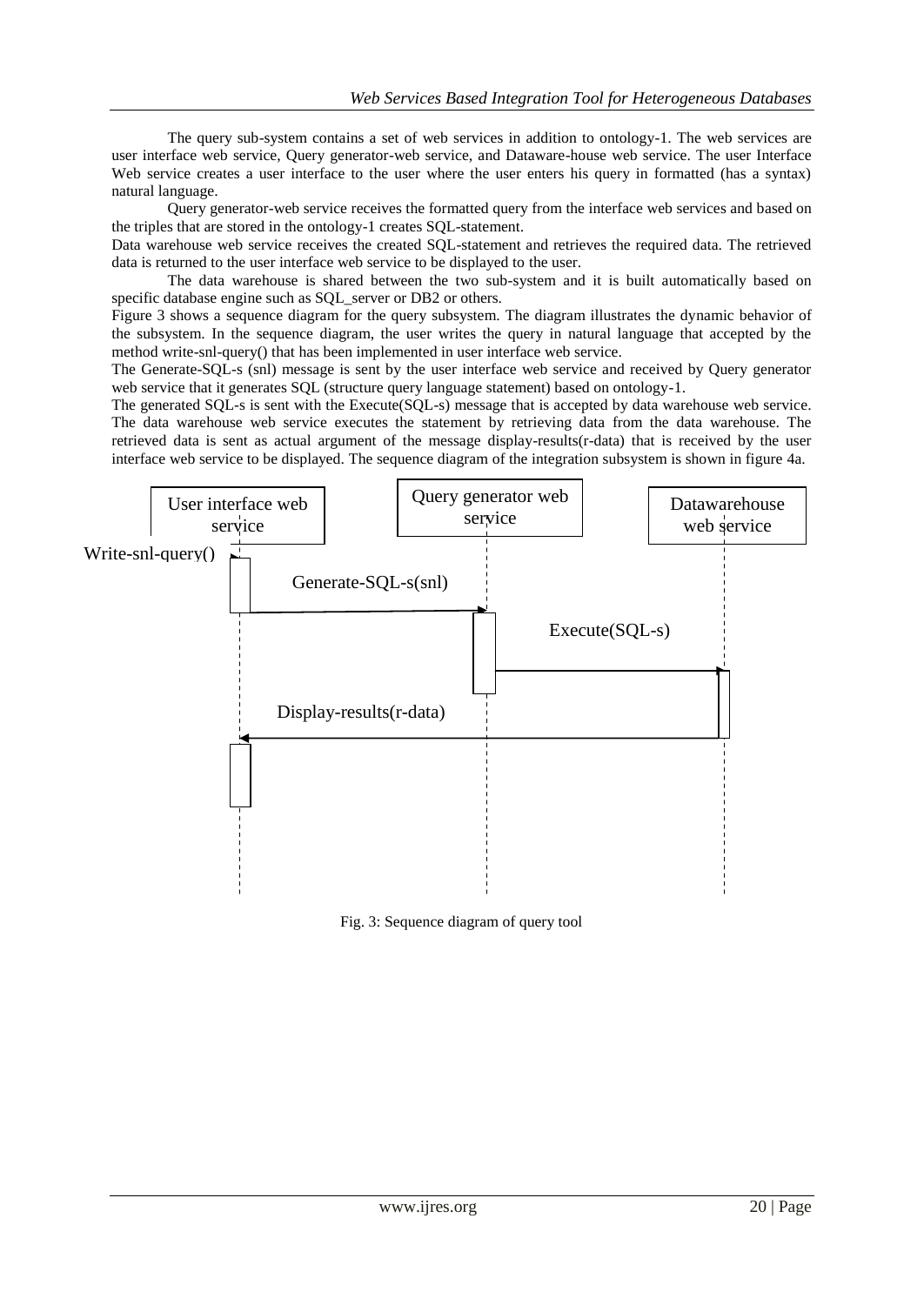The query sub-system contains a set of web services in addition to ontology-1. The web services are user interface web service, Query generator-web service, and Dataware-house web service. The user Interface Web service creates a user interface to the user where the user enters his query in formatted (has a syntax) natural language.

Query generator-web service receives the formatted query from the interface web services and based on the triples that are stored in the ontology-1 creates SQL-statement.

Data warehouse web service receives the created SQL-statement and retrieves the required data. The retrieved data is returned to the user interface web service to be displayed to the user.

The data warehouse is shared between the two sub-system and it is built automatically based on specific database engine such as SQL server or DB2 or others.

Figure 3 shows a sequence diagram for the query subsystem. The diagram illustrates the dynamic behavior of the subsystem. In the sequence diagram, the user writes the query in natural language that accepted by the method write-snl-query() that has been implemented in user interface web service.

The Generate-SQL-s (snl) message is sent by the user interface web service and received by Query generator web service that it generates SQL (structure query language statement) based on ontology-1.

The generated SQL-s is sent with the Execute(SQL-s) message that is accepted by data warehouse web service. The data warehouse web service executes the statement by retrieving data from the data warehouse. The retrieved data is sent as actual argument of the message display-results(r-data) that is received by the user interface web service to be displayed. The sequence diagram of the integration subsystem is shown in figure 4a.



Fig. 3: Sequence diagram of query tool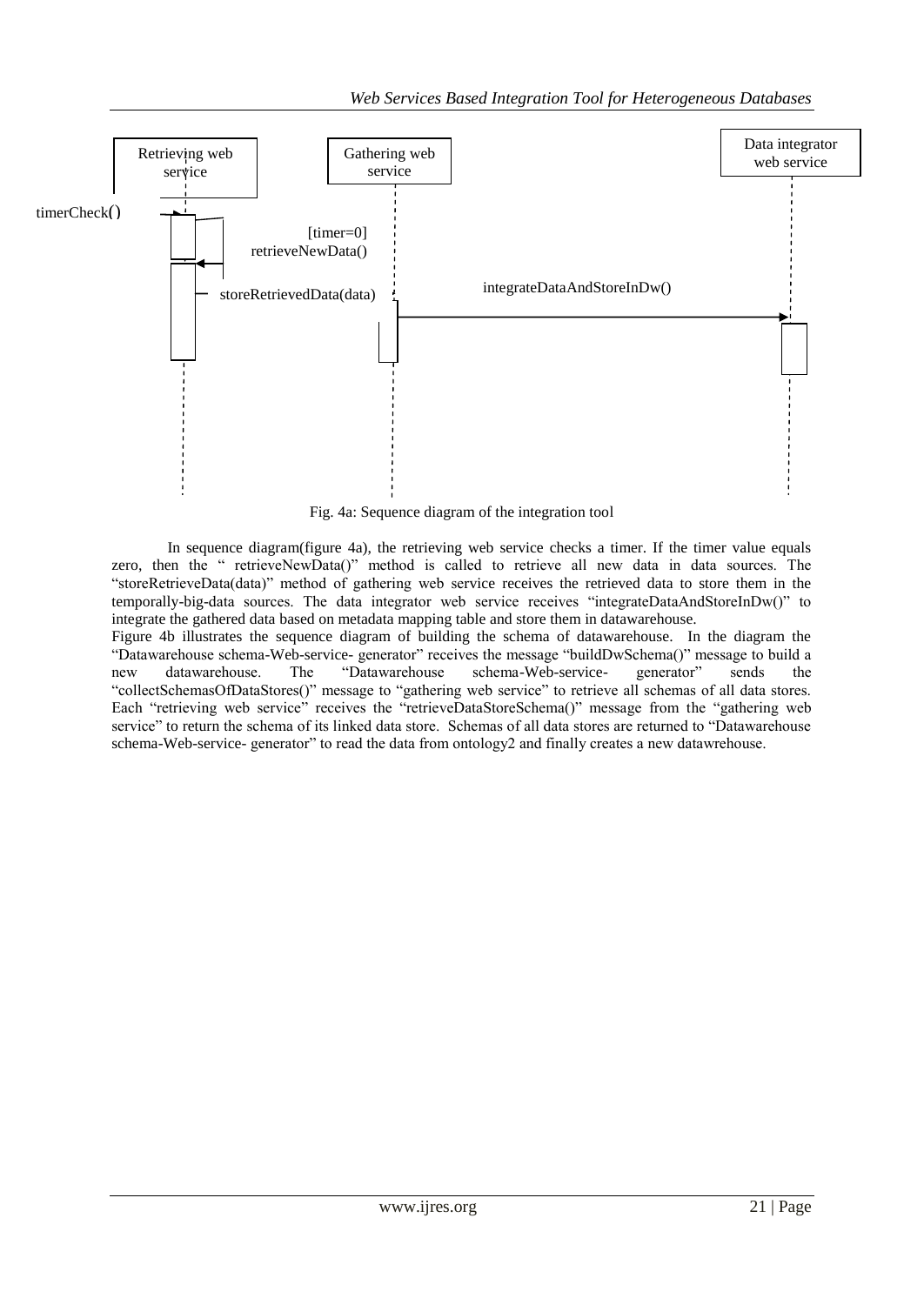

Fig. 4a: Sequence diagram of the integration tool

In sequence diagram(figure 4a), the retrieving web service checks a timer. If the timer value equals zero, then the " retrieveNewData()" method is called to retrieve all new data in data sources. The ―storeRetrieveData(data)‖ method of gathering web service receives the retrieved data to store them in the temporally-big-data sources. The data integrator web service receives "integrateDataAndStoreInDw()" to integrate the gathered data based on metadata mapping table and store them in datawarehouse.

Figure 4b illustrates the sequence diagram of building the schema of datawarehouse. In the diagram the "Datawarehouse schema-Web-service- generator" receives the message "buildDwSchema()" message to build a new datawarehouse. The "Datawarehouse schema-Web-service- generator" sends the new datawarehouse. The "Datawarehouse schema-Web-service- generator" sends the "collectSchemasOfDataStores()" message to "gathering web service" to retrieve all schemas of all data stores. Each "retrieving web service" receives the "retrieveDataStoreSchema()" message from the "gathering web service" to return the schema of its linked data store. Schemas of all data stores are returned to "Datawarehouse" schema-Web-service- generator" to read the data from ontology2 and finally creates a new datawrehouse.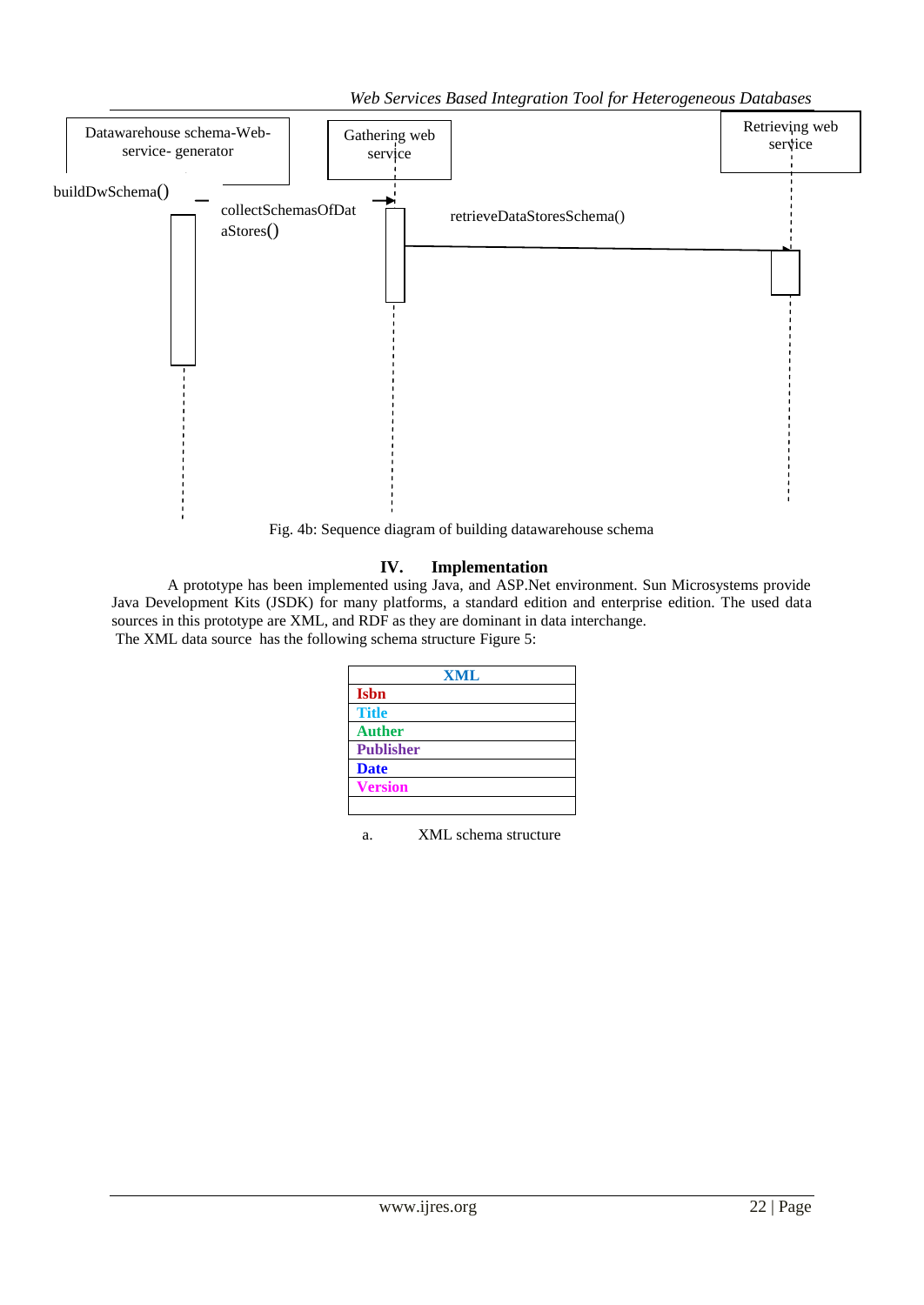*Web Services Based Integration Tool for Heterogeneous Databases*



Fig. 4b: Sequence diagram of building datawarehouse schema

# **IV. Implementation**

A prototype has been implemented using Java, and ASP.Net environment. Sun Microsystems provide Java Development Kits (JSDK) for many platforms, a standard edition and enterprise edition. The used data sources in this prototype are XML, and RDF as they are dominant in data interchange. The XML data source has the following schema structure Figure 5:

| <b>XML</b> |
|------------|
|            |
|            |
|            |
|            |
|            |
|            |
|            |

a. XML schema structure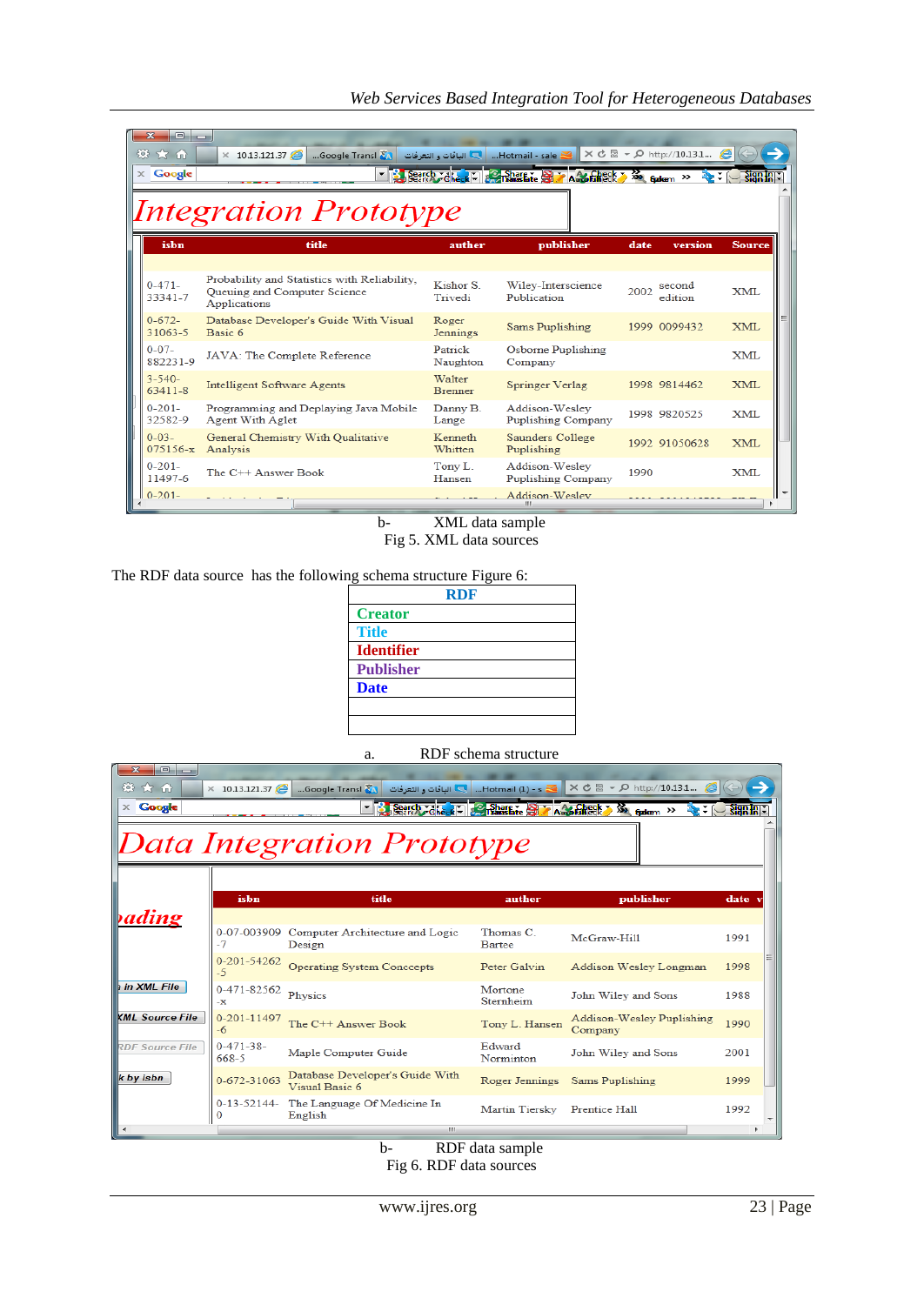| $\overline{\mathbf{z}}$<br>$\Box$ $\Box$<br>登大角<br>$\times$ Google | $\times$ 10.13.121.37<br>Google Transl<br>▼                                                  |                          | - Hotmail - sale    الباقات و التعرفات<br>Search dheck - so phase at Augstable | $\times$ d $\boxtimes$ - $\circ$ http://10.13.1<br><b>XX</b> Gudenn <sup>XX</sup> | $\frac{1}{2}$ and $\frac{1}{2}$ and $\frac{1}{2}$ |
|--------------------------------------------------------------------|----------------------------------------------------------------------------------------------|--------------------------|--------------------------------------------------------------------------------|-----------------------------------------------------------------------------------|---------------------------------------------------|
|                                                                    | <i>Integration Prototype</i>                                                                 |                          |                                                                                |                                                                                   |                                                   |
| ishn                                                               | title                                                                                        | auther                   | publisher                                                                      | version<br>date                                                                   | <b>Source</b>                                     |
| $0 - 471 -$<br>33341-7                                             | Probability and Statistics with Reliability.<br>Oueuing and Computer Science<br>Applications | Kishor S<br>Trivedi      | Wiley-Interscience<br>Publication                                              | second<br>2002<br>edition                                                         | <b>XML</b>                                        |
| $0 - 672 -$<br>31063-5                                             | Database Developer's Guide With Visual<br>Basic 6                                            | Roger<br>Jennings        | Sams Puplishing                                                                | 1999 0099432                                                                      | XML                                               |
| $0 - 07 -$<br>882231-9                                             | JAVA: The Complete Reference                                                                 | Patrick<br>Naughton      | Osborne Puplishing<br>Company                                                  |                                                                                   | <b>XML</b>                                        |
| $3 - 540 -$<br>$63411 - 8$                                         | <b>Intelligent Software Agents</b>                                                           | Walter<br><b>Brenner</b> | Springer Verlag                                                                | 1998 9814462                                                                      | <b>XML</b>                                        |
| $0 - 201 -$<br>32582-9                                             | Programming and Deplaying Java Mobile<br><b>Agent With Aglet</b>                             | Danny B.<br>Lange        | Addison-Wesley<br>Puplishing Company                                           | 1998 9820525                                                                      | <b>XML</b>                                        |
| $0 - 03 -$<br>075156-x                                             | General Chemistry With Qualitative<br>Analysis                                               | Kenneth<br>Whitten       | Saunders College<br>Puplishing                                                 | 1992 91050628                                                                     | <b>XML</b>                                        |
| $0 - 201 -$<br>11497-6                                             | The C++ Answer Book                                                                          | Tony L.<br>Hansen        | Addison-Wesley<br><b>Puplishing Company</b>                                    | 1990                                                                              | XMI.                                              |
| $0-201-$                                                           |                                                                                              |                          | Addison-Wesley                                                                 |                                                                                   |                                                   |

b- XML data sample Fig 5. XML data sources

The RDF data source has the following schema structure Figure 6:

| <b>RDF</b>        |  |  |  |
|-------------------|--|--|--|
| <b>Creator</b>    |  |  |  |
| <b>Title</b>      |  |  |  |
| <b>Identifier</b> |  |  |  |
| <b>Publisher</b>  |  |  |  |
| <b>Date</b>       |  |  |  |
|                   |  |  |  |
|                   |  |  |  |

a. RDF schema structure

| $\mathbf{x}$<br>$\Box$<br>o<br>※ ★ 命<br>$\times$ Google | $\times$ 10.13.121.37     | Google Transl<br><b>اللي الباقات و التعرفات</b><br>۰  | $Hotmail (1) - s$<br>Search Foreck - Sharene Strangfacet | $\times$ d $\boxtimes$ - $\Omega$ http://10.13.1<br>$\times$<br>$6$ advantage $\gg$ | $\frac{\text{Sign}}{\text{Eqn}}$ |  |
|---------------------------------------------------------|---------------------------|-------------------------------------------------------|----------------------------------------------------------|-------------------------------------------------------------------------------------|----------------------------------|--|
| Data Integration Prototype                              |                           |                                                       |                                                          |                                                                                     |                                  |  |
| <b><i><u>ading</u></i></b>                              | isbn                      | title                                                 | auther                                                   | publisher                                                                           | date :                           |  |
|                                                         | $-7$                      | 0-07-003909 Computer Architecture and Logic<br>Design | Thomas C<br>Bartee                                       | McGraw-Hill                                                                         | 1991                             |  |
|                                                         | $0 - 201 - 54262$<br>$-5$ | <b>Operating System Conccepts</b>                     | Peter Galvin                                             | Addison Wesley Longman                                                              | 1998                             |  |
| in XML File                                             | 0-471-82562<br>-х         | Physics                                               | Mortone<br>Sternheim                                     | John Wiley and Sons                                                                 | 1988                             |  |
| <b>KML Source File</b>                                  | 0-201-11497<br>$-6$       | The C++ Answer Book                                   | Tony L. Hansen                                           | Addison-Wesley Puplishing<br>Company                                                | 1990                             |  |
| <b>RDF Source File</b>                                  | $0-471-38-$<br>668-5      | Maple Computer Guide                                  | Edward<br>Norminton                                      | John Wiley and Sons                                                                 | 2001                             |  |
| k by isbn                                               | 0-672-31063               | Database Developer's Guide With<br>Visual Basic 6     | Roger Jennings                                           | Sams Puplishing                                                                     | 1999                             |  |
|                                                         | $0-13-52144-$<br>0        | The Language Of Medicine In<br>English<br>m.          | Martin Tiersky                                           | <b>Prentice Hall</b>                                                                | 1992                             |  |

b- RDF data sample Fig 6. RDF data sources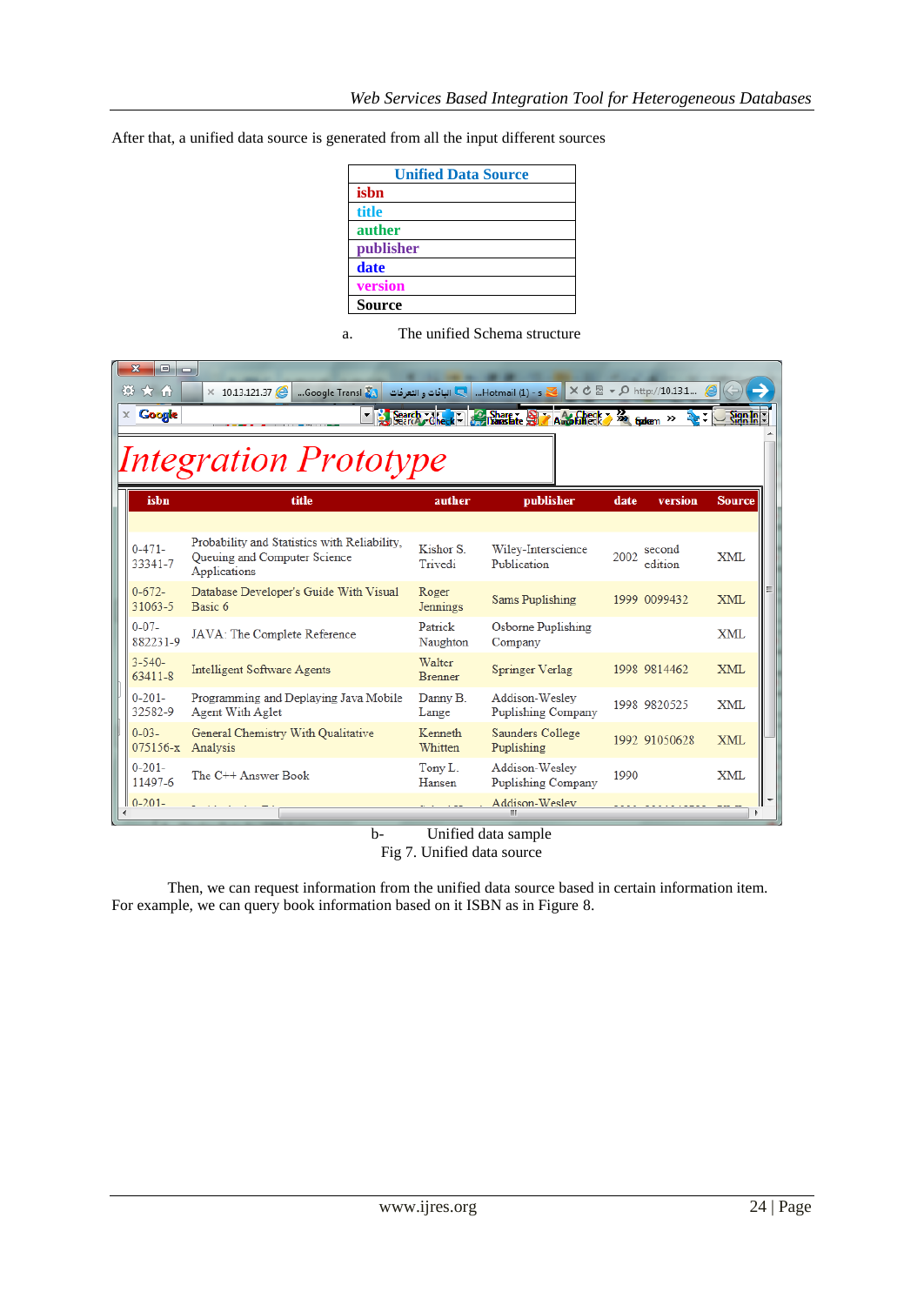After that, a unified data source is generated from all the input different sources

| <b>Unified Data Source</b> |  |  |  |
|----------------------------|--|--|--|
| isbn                       |  |  |  |
| title                      |  |  |  |
| auther                     |  |  |  |
| publisher                  |  |  |  |
| date                       |  |  |  |
| version                    |  |  |  |
| <b>Source</b>              |  |  |  |

a. The unified Schema structure

| $\Box$<br>※ ★ 命<br><b>Google</b><br>x. | o<br>$\times$ 10.13.121.37<br>Google Transl                                                  |                          | الباقات والتعرفات Hotmail (1) $\leq$<br>Jeanch Check   Charge Share 2 / Aug Engel X So Gadem >> |      | × ♂ 図 ▼ Q http://10.13.1 ● | $\frac{1}{2}$ and $\frac{1}{2}$ |
|----------------------------------------|----------------------------------------------------------------------------------------------|--------------------------|-------------------------------------------------------------------------------------------------|------|----------------------------|---------------------------------|
|                                        | <b>Integration Prototype</b>                                                                 |                          |                                                                                                 |      |                            |                                 |
| isbn                                   | title                                                                                        | auther                   | publisher                                                                                       | date | version                    | <b>Source</b>                   |
| $0-471-$<br>33341-7                    | Probability and Statistics with Reliability,<br>Queuing and Computer Science<br>Applications | Kishor S<br>Trivedi      | Wiley-Interscience<br>Publication                                                               | 2002 | second<br>edition          | <b>XML</b>                      |
| $0 - 672 -$<br>31063-5                 | Database Developer's Guide With Visual<br>Basic 6                                            | Roger<br>Jennings        | Sams Puplishing                                                                                 |      | 1999 0099432               | <b>XML</b>                      |
| $0 - 07 -$<br>882231-9                 | JAVA: The Complete Reference                                                                 | Patrick<br>Naughton      | Osborne Puplishing<br>Company                                                                   |      |                            | <b>XML</b>                      |
| $3 - 540 -$<br>63411-8                 | Intelligent Software Agents                                                                  | Walter<br><b>Brenner</b> | Springer Verlag                                                                                 |      | 1998 9814462               | <b>XML</b>                      |
| $0 - 201 -$<br>32582-9                 | Programming and Deplaying Java Mobile<br><b>Agent With Aglet</b>                             | Danny B.<br>Lange        | Addison-Wesley<br>Puplishing Company                                                            |      | 1998 9820525               | <b>XML</b>                      |
| $0 - 03 -$<br>075156-x                 | General Chemistry With Qualitative<br>Analysis                                               | Kenneth<br>Whitten       | Saunders College<br>Puplishing                                                                  |      | 1992 91050628              | XML                             |
| $0 - 201 -$<br>11497-6                 | The C++ Answer Book                                                                          | Tony L.<br>Hansen        | Addison-Wesley<br>Puplishing Company                                                            | 1990 |                            | XML                             |
| $0-201-$                               |                                                                                              |                          | Addison-Wesley                                                                                  |      |                            |                                 |

b- Unified data sample

Fig 7. Unified data source

Then, we can request information from the unified data source based in certain information item. For example, we can query book information based on it ISBN as in Figure 8.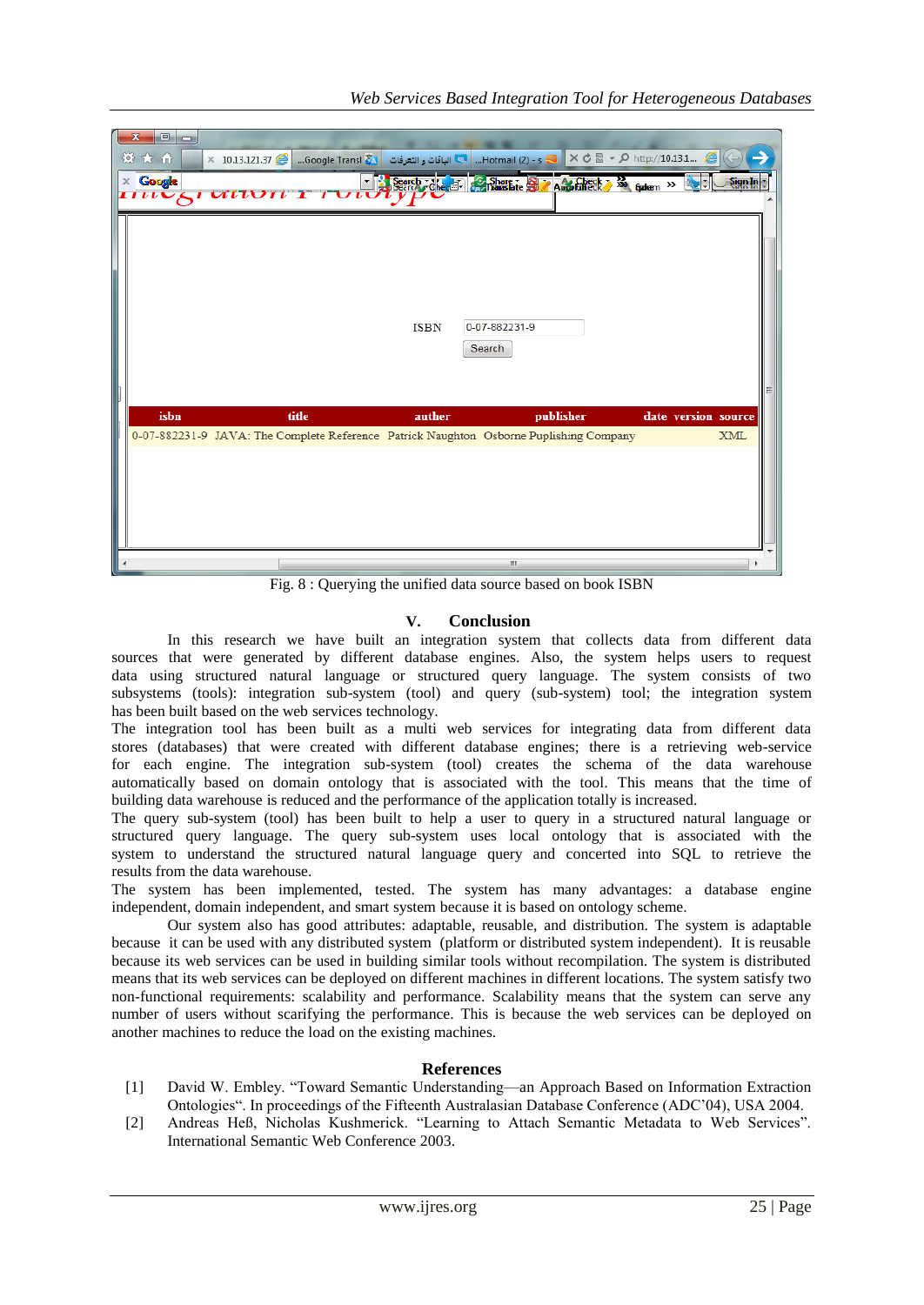| $\Box$<br>x<br>發大价<br>× 10.13.121.37 A → D http://10.13.1 و Hotmail (2) - s <   X + O http://10.13.1 و Hotmail (2) - s <   X + O http://10.13.1<br>$\times$ Google<br>Search Che, 57 Share & Share Ashare & Share & Son Gadem >><br>- 13 | Sign in<br>rit.     |
|------------------------------------------------------------------------------------------------------------------------------------------------------------------------------------------------------------------------------------------|---------------------|
| 0-07-882231-9<br><b>ISBN</b><br>Search<br>isbn<br>title<br>auther<br>publisher                                                                                                                                                           | date version source |
| 0-07-882231-9 JAVA: The Complete Reference Patrick Naughton Osborne Puplishing Company                                                                                                                                                   | <b>XML</b>          |
|                                                                                                                                                                                                                                          |                     |
| $\mathbf{m}$                                                                                                                                                                                                                             |                     |

Fig. 8 : Querying the unified data source based on book ISBN

## **V. Conclusion**

In this research we have built an integration system that collects data from different data sources that were generated by different database engines. Also, the system helps users to request data using structured natural language or structured query language. The system consists of two subsystems (tools): integration sub-system (tool) and query (sub-system) tool; the integration system has been built based on the web services technology.

The integration tool has been built as a multi web services for integrating data from different data stores (databases) that were created with different database engines; there is a retrieving web-service for each engine. The integration sub-system (tool) creates the schema of the data warehouse automatically based on domain ontology that is associated with the tool. This means that the time of building data warehouse is reduced and the performance of the application totally is increased.

The query sub-system (tool) has been built to help a user to query in a structured natural language or structured query language. The query sub-system uses local ontology that is associated with the system to understand the structured natural language query and concerted into SQL to retrieve the results from the data warehouse.

The system has been implemented, tested. The system has many advantages: a database engine independent, domain independent, and smart system because it is based on ontology scheme.

Our system also has good attributes: adaptable, reusable, and distribution. The system is adaptable because it can be used with any distributed system (platform or distributed system independent). It is reusable because its web services can be used in building similar tools without recompilation. The system is distributed means that its web services can be deployed on different machines in different locations. The system satisfy two non-functional requirements: scalability and performance. Scalability means that the system can serve any number of users without scarifying the performance. This is because the web services can be deployed on another machines to reduce the load on the existing machines.

### **References**

- [1] David W. Embley. "Toward Semantic Understanding—an Approach Based on Information Extraction Ontologies". In proceedings of the Fifteenth Australasian Database Conference (ADC'04), USA 2004.
- [2] Andreas Heß, Nicholas Kushmerick. "Learning to Attach Semantic Metadata to Web Services". International Semantic Web Conference 2003.